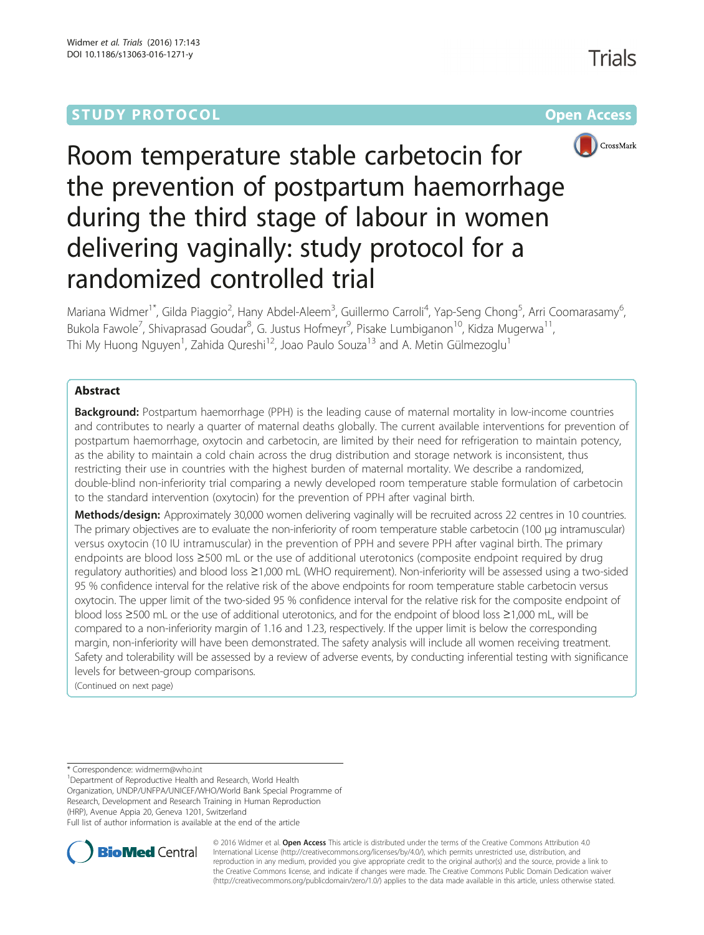# **STUDY PROTOCOL CONSUMING THE RESERVE ACCESS**



# Room temperature stable carbetocin for the prevention of postpartum haemorrhage during the third stage of labour in women delivering vaginally: study protocol for a randomized controlled trial

Mariana Widmer<sup>1\*</sup>, Gilda Piaggio<sup>2</sup>, Hany Abdel-Aleem<sup>3</sup>, Guillermo Carroli<sup>4</sup>, Yap-Seng Chong<sup>5</sup>, Arri Coomarasamy<sup>6</sup> , Bukola Fawole<sup>7</sup>, Shivaprasad Goudar<sup>8</sup>, G. Justus Hofmeyr<sup>9</sup>, Pisake Lumbiganon<sup>10</sup>, Kidza Mugerwa<sup>11</sup>, Thi My Huong Nguyen<sup>1</sup>, Zahida Qureshi<sup>12</sup>, Joao Paulo Souza<sup>13</sup> and A. Metin Gülmezoglu<sup>1</sup>

## Abstract

Background: Postpartum haemorrhage (PPH) is the leading cause of maternal mortality in low-income countries and contributes to nearly a quarter of maternal deaths globally. The current available interventions for prevention of postpartum haemorrhage, oxytocin and carbetocin, are limited by their need for refrigeration to maintain potency, as the ability to maintain a cold chain across the drug distribution and storage network is inconsistent, thus restricting their use in countries with the highest burden of maternal mortality. We describe a randomized, double-blind non-inferiority trial comparing a newly developed room temperature stable formulation of carbetocin to the standard intervention (oxytocin) for the prevention of PPH after vaginal birth.

Methods/design: Approximately 30,000 women delivering vaginally will be recruited across 22 centres in 10 countries. The primary objectives are to evaluate the non-inferiority of room temperature stable carbetocin (100 μg intramuscular) versus oxytocin (10 IU intramuscular) in the prevention of PPH and severe PPH after vaginal birth. The primary endpoints are blood loss ≥500 mL or the use of additional uterotonics (composite endpoint required by drug regulatory authorities) and blood loss ≥1,000 mL (WHO requirement). Non-inferiority will be assessed using a two-sided 95 % confidence interval for the relative risk of the above endpoints for room temperature stable carbetocin versus oxytocin. The upper limit of the two-sided 95 % confidence interval for the relative risk for the composite endpoint of blood loss ≥500 mL or the use of additional uterotonics, and for the endpoint of blood loss ≥1,000 mL, will be compared to a non-inferiority margin of 1.16 and 1.23, respectively. If the upper limit is below the corresponding margin, non-inferiority will have been demonstrated. The safety analysis will include all women receiving treatment. Safety and tolerability will be assessed by a review of adverse events, by conducting inferential testing with significance levels for between-group comparisons.

(Continued on next page)

\* Correspondence: [widmerm@who.int](mailto:widmerm@who.int) <sup>1</sup>

<sup>1</sup>Department of Reproductive Health and Research, World Health Organization, UNDP/UNFPA/UNICEF/WHO/World Bank Special Programme of Research, Development and Research Training in Human Reproduction (HRP), Avenue Appia 20, Geneva 1201, Switzerland

Full list of author information is available at the end of the article



© 2016 Widmer et al. Open Access This article is distributed under the terms of the Creative Commons Attribution 4.0 International License [\(http://creativecommons.org/licenses/by/4.0/](http://creativecommons.org/licenses/by/4.0/)), which permits unrestricted use, distribution, and reproduction in any medium, provided you give appropriate credit to the original author(s) and the source, provide a link to the Creative Commons license, and indicate if changes were made. The Creative Commons Public Domain Dedication waiver [\(http://creativecommons.org/publicdomain/zero/1.0/](http://creativecommons.org/publicdomain/zero/1.0/)) applies to the data made available in this article, unless otherwise stated.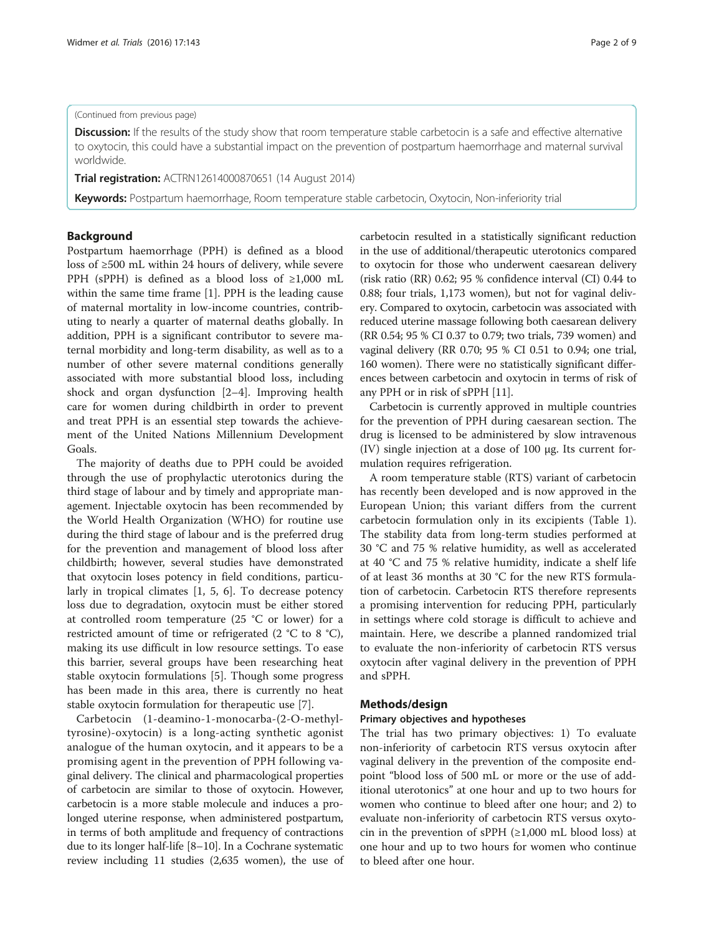#### (Continued from previous page)

Discussion: If the results of the study show that room temperature stable carbetocin is a safe and effective alternative to oxytocin, this could have a substantial impact on the prevention of postpartum haemorrhage and maternal survival worldwide.

#### **Trial registration:** [ACTRN12614000870651](http://www.ANZCTR.org.au/) (14 August 2014)

Keywords: Postpartum haemorrhage, Room temperature stable carbetocin, Oxytocin, Non-inferiority trial

#### Background

Postpartum haemorrhage (PPH) is defined as a blood loss of ≥500 mL within 24 hours of delivery, while severe PPH (sPPH) is defined as a blood loss of  $\geq 1,000$  mL within the same time frame [\[1\]](#page-7-0). PPH is the leading cause of maternal mortality in low-income countries, contributing to nearly a quarter of maternal deaths globally. In addition, PPH is a significant contributor to severe maternal morbidity and long-term disability, as well as to a number of other severe maternal conditions generally associated with more substantial blood loss, including shock and organ dysfunction [[2](#page-7-0)–[4\]](#page-7-0). Improving health care for women during childbirth in order to prevent and treat PPH is an essential step towards the achievement of the United Nations Millennium Development Goals.

The majority of deaths due to PPH could be avoided through the use of prophylactic uterotonics during the third stage of labour and by timely and appropriate management. Injectable oxytocin has been recommended by the World Health Organization (WHO) for routine use during the third stage of labour and is the preferred drug for the prevention and management of blood loss after childbirth; however, several studies have demonstrated that oxytocin loses potency in field conditions, particularly in tropical climates [[1, 5, 6](#page-7-0)]. To decrease potency loss due to degradation, oxytocin must be either stored at controlled room temperature (25  $°C$  or lower) for a restricted amount of time or refrigerated (2 °C to 8 °C), making its use difficult in low resource settings. To ease this barrier, several groups have been researching heat stable oxytocin formulations [\[5](#page-7-0)]. Though some progress has been made in this area, there is currently no heat stable oxytocin formulation for therapeutic use [\[7](#page-7-0)].

Carbetocin (1-deamino-1-monocarba-(2-O-methyltyrosine)-oxytocin) is a long-acting synthetic agonist analogue of the human oxytocin, and it appears to be a promising agent in the prevention of PPH following vaginal delivery. The clinical and pharmacological properties of carbetocin are similar to those of oxytocin. However, carbetocin is a more stable molecule and induces a prolonged uterine response, when administered postpartum, in terms of both amplitude and frequency of contractions due to its longer half-life [\[8](#page-7-0)–[10\]](#page-7-0). In a Cochrane systematic review including 11 studies (2,635 women), the use of carbetocin resulted in a statistically significant reduction in the use of additional/therapeutic uterotonics compared to oxytocin for those who underwent caesarean delivery (risk ratio (RR) 0.62; 95 % confidence interval (CI) 0.44 to 0.88; four trials, 1,173 women), but not for vaginal delivery. Compared to oxytocin, carbetocin was associated with reduced uterine massage following both caesarean delivery (RR 0.54; 95 % CI 0.37 to 0.79; two trials, 739 women) and vaginal delivery (RR 0.70; 95 % CI 0.51 to 0.94; one trial, 160 women). There were no statistically significant differences between carbetocin and oxytocin in terms of risk of any PPH or in risk of sPPH [\[11](#page-8-0)].

Carbetocin is currently approved in multiple countries for the prevention of PPH during caesarean section. The drug is licensed to be administered by slow intravenous (IV) single injection at a dose of 100 μg. Its current formulation requires refrigeration.

A room temperature stable (RTS) variant of carbetocin has recently been developed and is now approved in the European Union; this variant differs from the current carbetocin formulation only in its excipients (Table [1](#page-2-0)). The stability data from long-term studies performed at 30 °C and 75 % relative humidity, as well as accelerated at 40 °C and 75 % relative humidity, indicate a shelf life of at least 36 months at 30 °C for the new RTS formulation of carbetocin. Carbetocin RTS therefore represents a promising intervention for reducing PPH, particularly in settings where cold storage is difficult to achieve and maintain. Here, we describe a planned randomized trial to evaluate the non-inferiority of carbetocin RTS versus oxytocin after vaginal delivery in the prevention of PPH and sPPH.

#### Methods/design

#### Primary objectives and hypotheses

The trial has two primary objectives: 1) To evaluate non-inferiority of carbetocin RTS versus oxytocin after vaginal delivery in the prevention of the composite endpoint "blood loss of 500 mL or more or the use of additional uterotonics" at one hour and up to two hours for women who continue to bleed after one hour; and 2) to evaluate non-inferiority of carbetocin RTS versus oxytocin in the prevention of sPPH  $(\geq 1,000 \text{ mL blood loss})$  at one hour and up to two hours for women who continue to bleed after one hour.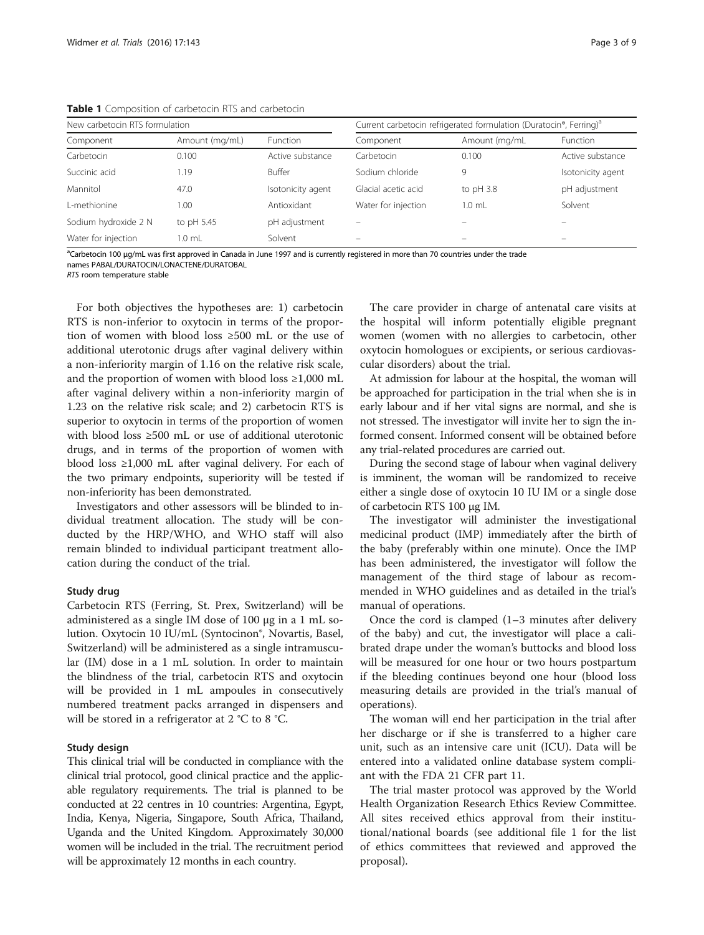| New carbetocin RTS formulation |                |                   | Current carbetocin refrigerated formulation (Duratocin®, Ferring) <sup>a</sup> |               |                   |
|--------------------------------|----------------|-------------------|--------------------------------------------------------------------------------|---------------|-------------------|
| Component                      | Amount (mg/mL) | Function          | Component                                                                      | Amount (mg/mL | <b>Function</b>   |
| Carbetocin                     | 0.100          | Active substance  | Carbetocin                                                                     | 0.100         | Active substance  |
| Succinic acid                  | 1.19           | <b>Buffer</b>     | Sodium chloride                                                                | 9             | Isotonicity agent |
| Mannitol                       | 47.0           | Isotonicity agent | Glacial acetic acid                                                            | to $pH$ 3.8   | pH adjustment     |
| I-methionine                   | 00.1           | Antioxidant       | Water for injection                                                            | $1.0$ ml      | Solvent           |
| Sodium hydroxide 2 N           | to pH 5.45     | pH adjustment     | $\overline{\phantom{0}}$                                                       |               |                   |
| Water for injection            | 1.0 mL         | Solvent           |                                                                                |               |                   |

<span id="page-2-0"></span>Table 1 Composition of carbetocin RTS and carbetocin

a<br>Carbetocin 100 µg/mL was first approved in Canada in June 1997 and is currently registered in more than 70 countries under the trade names PABAL/DURATOCIN/LONACTENE/DURATOBAL

RTS room temperature stable

For both objectives the hypotheses are: 1) carbetocin RTS is non-inferior to oxytocin in terms of the proportion of women with blood loss ≥500 mL or the use of additional uterotonic drugs after vaginal delivery within a non-inferiority margin of 1.16 on the relative risk scale, and the proportion of women with blood loss  $\geq 1,000$  mL after vaginal delivery within a non-inferiority margin of 1.23 on the relative risk scale; and 2) carbetocin RTS is superior to oxytocin in terms of the proportion of women with blood loss ≥500 mL or use of additional uterotonic drugs, and in terms of the proportion of women with blood loss ≥1,000 mL after vaginal delivery. For each of the two primary endpoints, superiority will be tested if non-inferiority has been demonstrated.

Investigators and other assessors will be blinded to individual treatment allocation. The study will be conducted by the HRP/WHO, and WHO staff will also remain blinded to individual participant treatment allocation during the conduct of the trial.

#### Study drug

Carbetocin RTS (Ferring, St. Prex, Switzerland) will be administered as a single IM dose of 100 μg in a 1 mL solution. Oxytocin 10 IU/mL (Syntocinon®, Novartis, Basel, Switzerland) will be administered as a single intramuscular (IM) dose in a 1 mL solution. In order to maintain the blindness of the trial, carbetocin RTS and oxytocin will be provided in 1 mL ampoules in consecutively numbered treatment packs arranged in dispensers and will be stored in a refrigerator at 2 °C to 8 °C.

#### Study design

This clinical trial will be conducted in compliance with the clinical trial protocol, good clinical practice and the applicable regulatory requirements. The trial is planned to be conducted at 22 centres in 10 countries: Argentina, Egypt, India, Kenya, Nigeria, Singapore, South Africa, Thailand, Uganda and the United Kingdom. Approximately 30,000 women will be included in the trial. The recruitment period will be approximately 12 months in each country.

The care provider in charge of antenatal care visits at the hospital will inform potentially eligible pregnant women (women with no allergies to carbetocin, other oxytocin homologues or excipients, or serious cardiovascular disorders) about the trial.

At admission for labour at the hospital, the woman will be approached for participation in the trial when she is in early labour and if her vital signs are normal, and she is not stressed. The investigator will invite her to sign the informed consent. Informed consent will be obtained before any trial-related procedures are carried out.

During the second stage of labour when vaginal delivery is imminent, the woman will be randomized to receive either a single dose of oxytocin 10 IU IM or a single dose of carbetocin RTS 100 μg IM.

The investigator will administer the investigational medicinal product (IMP) immediately after the birth of the baby (preferably within one minute). Once the IMP has been administered, the investigator will follow the management of the third stage of labour as recommended in WHO guidelines and as detailed in the trial's manual of operations.

Once the cord is clamped (1–3 minutes after delivery of the baby) and cut, the investigator will place a calibrated drape under the woman's buttocks and blood loss will be measured for one hour or two hours postpartum if the bleeding continues beyond one hour (blood loss measuring details are provided in the trial's manual of operations).

The woman will end her participation in the trial after her discharge or if she is transferred to a higher care unit, such as an intensive care unit (ICU). Data will be entered into a validated online database system compliant with the FDA 21 CFR part 11.

The trial master protocol was approved by the World Health Organization Research Ethics Review Committee. All sites received ethics approval from their institutional/national boards (see additional file [1](#page-7-0) for the list of ethics committees that reviewed and approved the proposal).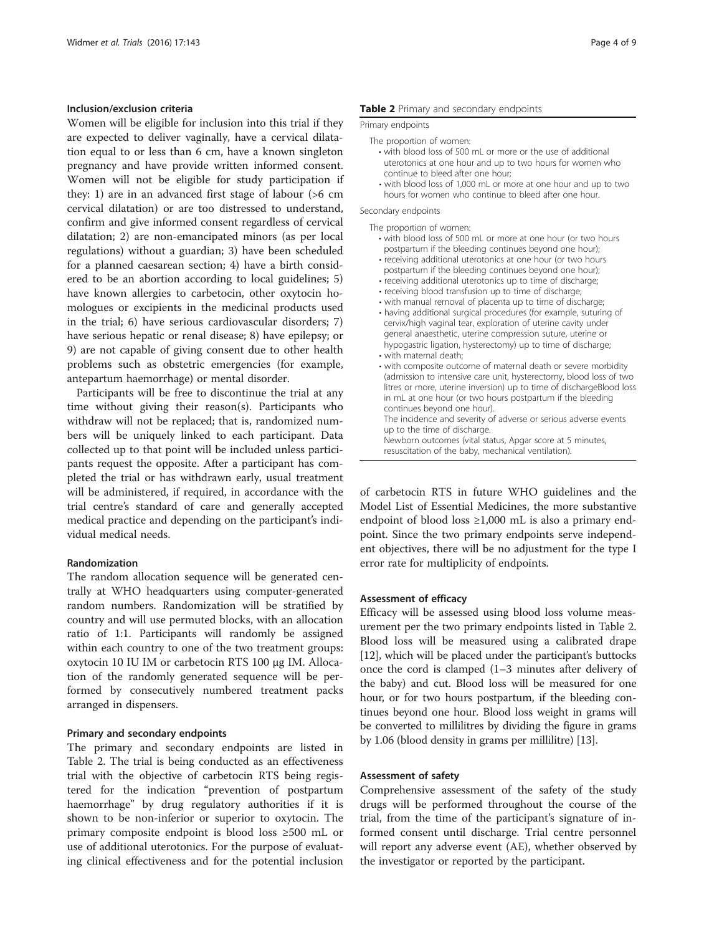#### Inclusion/exclusion criteria

Women will be eligible for inclusion into this trial if they are expected to deliver vaginally, have a cervical dilatation equal to or less than 6 cm, have a known singleton pregnancy and have provide written informed consent. Women will not be eligible for study participation if they: 1) are in an advanced first stage of labour (>6 cm cervical dilatation) or are too distressed to understand, confirm and give informed consent regardless of cervical dilatation; 2) are non-emancipated minors (as per local regulations) without a guardian; 3) have been scheduled for a planned caesarean section; 4) have a birth considered to be an abortion according to local guidelines; 5) have known allergies to carbetocin, other oxytocin homologues or excipients in the medicinal products used in the trial; 6) have serious cardiovascular disorders; 7) have serious hepatic or renal disease; 8) have epilepsy; or 9) are not capable of giving consent due to other health problems such as obstetric emergencies (for example, antepartum haemorrhage) or mental disorder.

Participants will be free to discontinue the trial at any time without giving their reason(s). Participants who withdraw will not be replaced; that is, randomized numbers will be uniquely linked to each participant. Data collected up to that point will be included unless participants request the opposite. After a participant has completed the trial or has withdrawn early, usual treatment will be administered, if required, in accordance with the trial centre's standard of care and generally accepted medical practice and depending on the participant's individual medical needs.

### Randomization

The random allocation sequence will be generated centrally at WHO headquarters using computer-generated random numbers. Randomization will be stratified by country and will use permuted blocks, with an allocation ratio of 1:1. Participants will randomly be assigned within each country to one of the two treatment groups: oxytocin 10 IU IM or carbetocin RTS 100 μg IM. Allocation of the randomly generated sequence will be performed by consecutively numbered treatment packs arranged in dispensers.

#### Primary and secondary endpoints

The primary and secondary endpoints are listed in Table 2. The trial is being conducted as an effectiveness trial with the objective of carbetocin RTS being registered for the indication "prevention of postpartum haemorrhage" by drug regulatory authorities if it is shown to be non-inferior or superior to oxytocin. The primary composite endpoint is blood loss ≥500 mL or use of additional uterotonics. For the purpose of evaluating clinical effectiveness and for the potential inclusion

#### Table 2 Primary and secondary endpoints

#### Primary endpoints

The proportion of women:

- with blood loss of 500 mL or more or the use of additional uterotonics at one hour and up to two hours for women who continue to bleed after one hour;
- with blood loss of 1,000 mL or more at one hour and up to two hours for women who continue to bleed after one hour.

#### Secondary endpoints

The proportion of women:

- with blood loss of 500 mL or more at one hour (or two hours postpartum if the bleeding continues beyond one hour);
- receiving additional uterotonics at one hour (or two hours
- postpartum if the bleeding continues beyond one hour);
- receiving additional uterotonics up to time of discharge:
- receiving blood transfusion up to time of discharge; • with manual removal of placenta up to time of discharge;
- having additional surgical procedures (for example, suturing of cervix/high vaginal tear, exploration of uterine cavity under general anaesthetic, uterine compression suture, uterine or hypogastric ligation, hysterectomy) up to time of discharge; • with maternal death;
- with composite outcome of maternal death or severe morbidity (admission to intensive care unit, hysterectomy, blood loss of two litres or more, uterine inversion) up to time of dischargeBlood loss in mL at one hour (or two hours postpartum if the bleeding continues beyond one hour). The incidence and severity of adverse or serious adverse events

up to the time of discharge.

Newborn outcomes (vital status, Apgar score at 5 minutes, resuscitation of the baby, mechanical ventilation).

of carbetocin RTS in future WHO guidelines and the Model List of Essential Medicines, the more substantive endpoint of blood loss  $\geq 1,000$  mL is also a primary endpoint. Since the two primary endpoints serve independent objectives, there will be no adjustment for the type I error rate for multiplicity of endpoints.

#### Assessment of efficacy

Efficacy will be assessed using blood loss volume measurement per the two primary endpoints listed in Table 2. Blood loss will be measured using a calibrated drape [[12](#page-8-0)], which will be placed under the participant's buttocks once the cord is clamped (1–3 minutes after delivery of the baby) and cut. Blood loss will be measured for one hour, or for two hours postpartum, if the bleeding continues beyond one hour. Blood loss weight in grams will be converted to millilitres by dividing the figure in grams by 1.06 (blood density in grams per millilitre) [\[13\]](#page-8-0).

#### Assessment of safety

Comprehensive assessment of the safety of the study drugs will be performed throughout the course of the trial, from the time of the participant's signature of informed consent until discharge. Trial centre personnel will report any adverse event (AE), whether observed by the investigator or reported by the participant.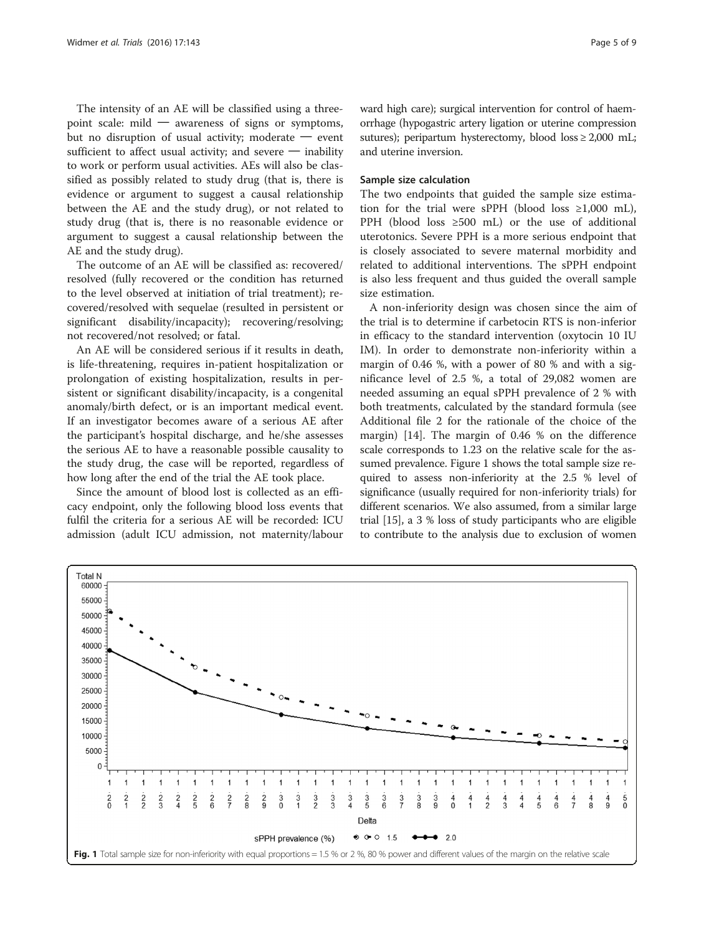<span id="page-4-0"></span>The intensity of an AE will be classified using a threepoint scale:  $\text{mild}$   $\text{–}$  awareness of signs or symptoms, but no disruption of usual activity; moderate  $-$  event sufficient to affect usual activity; and severe  $-$  inability to work or perform usual activities. AEs will also be classified as possibly related to study drug (that is, there is evidence or argument to suggest a causal relationship between the AE and the study drug), or not related to study drug (that is, there is no reasonable evidence or argument to suggest a causal relationship between the AE and the study drug).

The outcome of an AE will be classified as: recovered/ resolved (fully recovered or the condition has returned to the level observed at initiation of trial treatment); recovered/resolved with sequelae (resulted in persistent or significant disability/incapacity); recovering/resolving; not recovered/not resolved; or fatal.

An AE will be considered serious if it results in death, is life-threatening, requires in-patient hospitalization or prolongation of existing hospitalization, results in persistent or significant disability/incapacity, is a congenital anomaly/birth defect, or is an important medical event. If an investigator becomes aware of a serious AE after the participant's hospital discharge, and he/she assesses the serious AE to have a reasonable possible causality to the study drug, the case will be reported, regardless of how long after the end of the trial the AE took place.

Since the amount of blood lost is collected as an efficacy endpoint, only the following blood loss events that fulfil the criteria for a serious AE will be recorded: ICU admission (adult ICU admission, not maternity/labour ward high care); surgical intervention for control of haemorrhage (hypogastric artery ligation or uterine compression sutures); peripartum hysterectomy, blood  $loss \geq 2,000$  mL; and uterine inversion.

#### Sample size calculation

The two endpoints that guided the sample size estimation for the trial were sPPH (blood loss  $\geq 1,000$  mL), PPH (blood loss ≥500 mL) or the use of additional uterotonics. Severe PPH is a more serious endpoint that is closely associated to severe maternal morbidity and related to additional interventions. The sPPH endpoint is also less frequent and thus guided the overall sample size estimation.

A non-inferiority design was chosen since the aim of the trial is to determine if carbetocin RTS is non-inferior in efficacy to the standard intervention (oxytocin 10 IU IM). In order to demonstrate non-inferiority within a margin of 0.46 %, with a power of 80 % and with a significance level of 2.5 %, a total of 29,082 women are needed assuming an equal sPPH prevalence of 2 % with both treatments, calculated by the standard formula (see Additional file [2](#page-7-0) for the rationale of the choice of the margin) [[14\]](#page-8-0). The margin of 0.46 % on the difference scale corresponds to 1.23 on the relative scale for the assumed prevalence. Figure 1 shows the total sample size required to assess non-inferiority at the 2.5 % level of significance (usually required for non-inferiority trials) for different scenarios. We also assumed, from a similar large trial [\[15\]](#page-8-0), a 3 % loss of study participants who are eligible to contribute to the analysis due to exclusion of women

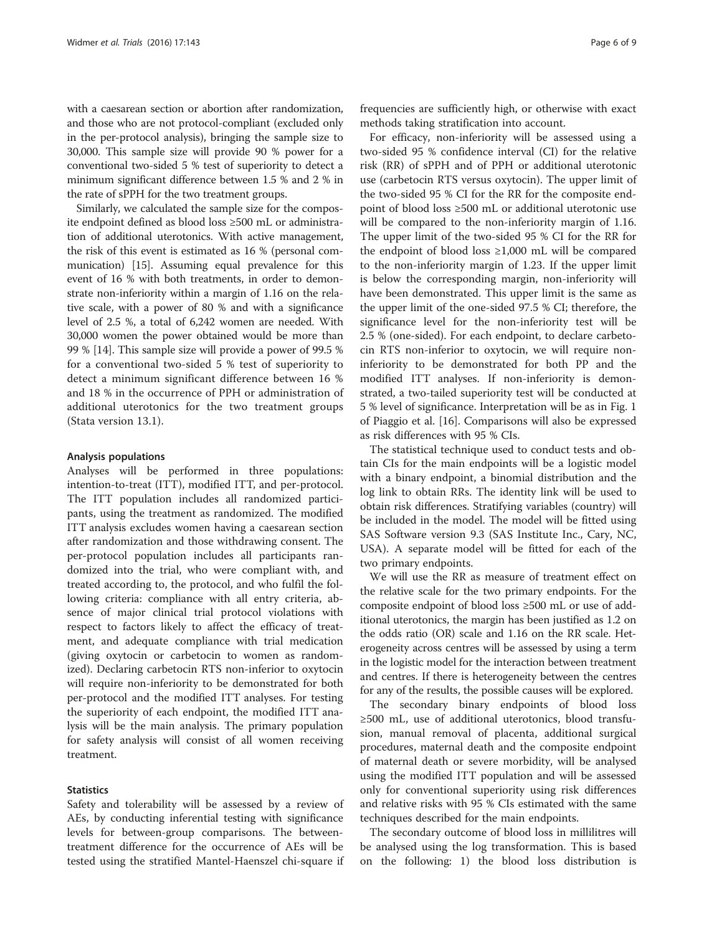with a caesarean section or abortion after randomization, and those who are not protocol-compliant (excluded only in the per-protocol analysis), bringing the sample size to 30,000. This sample size will provide 90 % power for a conventional two-sided 5 % test of superiority to detect a minimum significant difference between 1.5 % and 2 % in the rate of sPPH for the two treatment groups.

Similarly, we calculated the sample size for the composite endpoint defined as blood loss ≥500 mL or administration of additional uterotonics. With active management, the risk of this event is estimated as 16 % (personal communication) [[15](#page-8-0)]. Assuming equal prevalence for this event of 16 % with both treatments, in order to demonstrate non-inferiority within a margin of 1.16 on the relative scale, with a power of 80 % and with a significance level of 2.5 %, a total of 6,242 women are needed. With 30,000 women the power obtained would be more than 99 % [\[14\]](#page-8-0). This sample size will provide a power of 99.5 % for a conventional two-sided 5 % test of superiority to detect a minimum significant difference between 16 % and 18 % in the occurrence of PPH or administration of additional uterotonics for the two treatment groups (Stata version 13.1).

#### Analysis populations

Analyses will be performed in three populations: intention-to-treat (ITT), modified ITT, and per-protocol. The ITT population includes all randomized participants, using the treatment as randomized. The modified ITT analysis excludes women having a caesarean section after randomization and those withdrawing consent. The per-protocol population includes all participants randomized into the trial, who were compliant with, and treated according to, the protocol, and who fulfil the following criteria: compliance with all entry criteria, absence of major clinical trial protocol violations with respect to factors likely to affect the efficacy of treatment, and adequate compliance with trial medication (giving oxytocin or carbetocin to women as randomized). Declaring carbetocin RTS non-inferior to oxytocin will require non-inferiority to be demonstrated for both per-protocol and the modified ITT analyses. For testing the superiority of each endpoint, the modified ITT analysis will be the main analysis. The primary population for safety analysis will consist of all women receiving treatment.

#### **Statistics**

Safety and tolerability will be assessed by a review of AEs, by conducting inferential testing with significance levels for between-group comparisons. The betweentreatment difference for the occurrence of AEs will be tested using the stratified Mantel-Haenszel chi-square if frequencies are sufficiently high, or otherwise with exact methods taking stratification into account.

For efficacy, non-inferiority will be assessed using a two-sided 95 % confidence interval (CI) for the relative risk (RR) of sPPH and of PPH or additional uterotonic use (carbetocin RTS versus oxytocin). The upper limit of the two-sided 95 % CI for the RR for the composite endpoint of blood loss ≥500 mL or additional uterotonic use will be compared to the non-inferiority margin of 1.16. The upper limit of the two-sided 95 % CI for the RR for the endpoint of blood loss ≥1,000 mL will be compared to the non-inferiority margin of 1.23. If the upper limit is below the corresponding margin, non-inferiority will have been demonstrated. This upper limit is the same as the upper limit of the one-sided 97.5 % CI; therefore, the significance level for the non-inferiority test will be 2.5 % (one-sided). For each endpoint, to declare carbetocin RTS non-inferior to oxytocin, we will require noninferiority to be demonstrated for both PP and the modified ITT analyses. If non-inferiority is demonstrated, a two-tailed superiority test will be conducted at 5 % level of significance. Interpretation will be as in Fig. [1](#page-4-0) of Piaggio et al. [[16](#page-8-0)]. Comparisons will also be expressed as risk differences with 95 % CIs.

The statistical technique used to conduct tests and obtain CIs for the main endpoints will be a logistic model with a binary endpoint, a binomial distribution and the log link to obtain RRs. The identity link will be used to obtain risk differences. Stratifying variables (country) will be included in the model. The model will be fitted using SAS Software version 9.3 (SAS Institute Inc., Cary, NC, USA). A separate model will be fitted for each of the two primary endpoints.

We will use the RR as measure of treatment effect on the relative scale for the two primary endpoints. For the composite endpoint of blood loss ≥500 mL or use of additional uterotonics, the margin has been justified as 1.2 on the odds ratio (OR) scale and 1.16 on the RR scale. Heterogeneity across centres will be assessed by using a term in the logistic model for the interaction between treatment and centres. If there is heterogeneity between the centres for any of the results, the possible causes will be explored.

The secondary binary endpoints of blood loss ≥500 mL, use of additional uterotonics, blood transfusion, manual removal of placenta, additional surgical procedures, maternal death and the composite endpoint of maternal death or severe morbidity, will be analysed using the modified ITT population and will be assessed only for conventional superiority using risk differences and relative risks with 95 % CIs estimated with the same techniques described for the main endpoints.

The secondary outcome of blood loss in millilitres will be analysed using the log transformation. This is based on the following: 1) the blood loss distribution is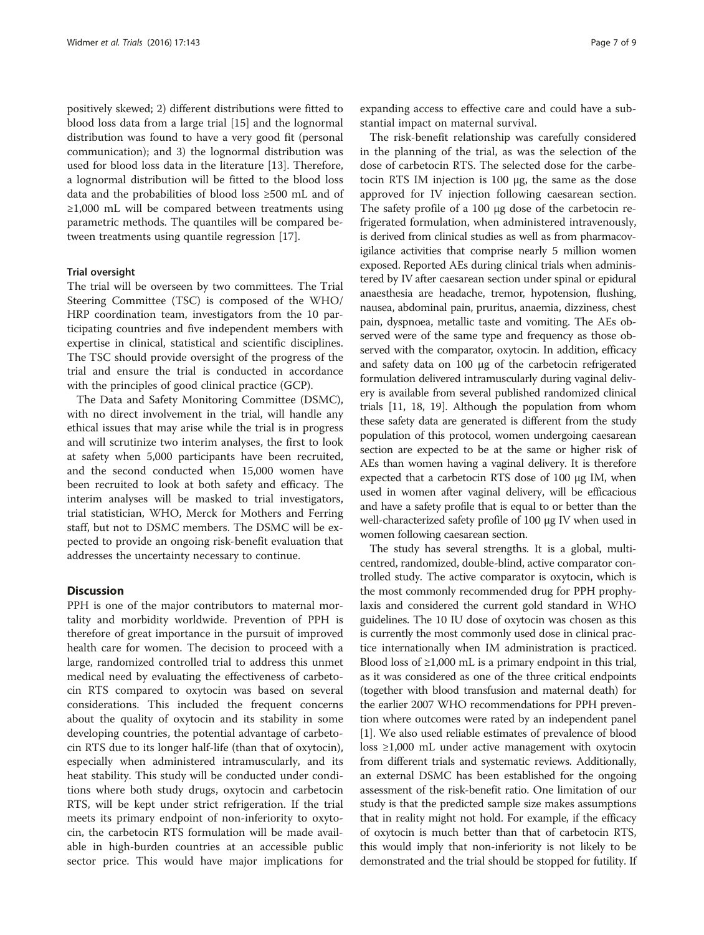positively skewed; 2) different distributions were fitted to blood loss data from a large trial [\[15](#page-8-0)] and the lognormal distribution was found to have a very good fit (personal communication); and 3) the lognormal distribution was used for blood loss data in the literature [[13\]](#page-8-0). Therefore, a lognormal distribution will be fitted to the blood loss data and the probabilities of blood loss ≥500 mL and of ≥1,000 mL will be compared between treatments using parametric methods. The quantiles will be compared between treatments using quantile regression [[17\]](#page-8-0).

#### Trial oversight

The trial will be overseen by two committees. The Trial Steering Committee (TSC) is composed of the WHO/ HRP coordination team, investigators from the 10 participating countries and five independent members with expertise in clinical, statistical and scientific disciplines. The TSC should provide oversight of the progress of the trial and ensure the trial is conducted in accordance with the principles of good clinical practice (GCP).

The Data and Safety Monitoring Committee (DSMC), with no direct involvement in the trial, will handle any ethical issues that may arise while the trial is in progress and will scrutinize two interim analyses, the first to look at safety when 5,000 participants have been recruited, and the second conducted when 15,000 women have been recruited to look at both safety and efficacy. The interim analyses will be masked to trial investigators, trial statistician, WHO, Merck for Mothers and Ferring staff, but not to DSMC members. The DSMC will be expected to provide an ongoing risk-benefit evaluation that addresses the uncertainty necessary to continue.

#### **Discussion**

PPH is one of the major contributors to maternal mortality and morbidity worldwide. Prevention of PPH is therefore of great importance in the pursuit of improved health care for women. The decision to proceed with a large, randomized controlled trial to address this unmet medical need by evaluating the effectiveness of carbetocin RTS compared to oxytocin was based on several considerations. This included the frequent concerns about the quality of oxytocin and its stability in some developing countries, the potential advantage of carbetocin RTS due to its longer half-life (than that of oxytocin), especially when administered intramuscularly, and its heat stability. This study will be conducted under conditions where both study drugs, oxytocin and carbetocin RTS, will be kept under strict refrigeration. If the trial meets its primary endpoint of non-inferiority to oxytocin, the carbetocin RTS formulation will be made available in high-burden countries at an accessible public sector price. This would have major implications for expanding access to effective care and could have a substantial impact on maternal survival.

The risk-benefit relationship was carefully considered in the planning of the trial, as was the selection of the dose of carbetocin RTS. The selected dose for the carbetocin RTS IM injection is 100 μg, the same as the dose approved for IV injection following caesarean section. The safety profile of a 100 μg dose of the carbetocin refrigerated formulation, when administered intravenously, is derived from clinical studies as well as from pharmacovigilance activities that comprise nearly 5 million women exposed. Reported AEs during clinical trials when administered by IV after caesarean section under spinal or epidural anaesthesia are headache, tremor, hypotension, flushing, nausea, abdominal pain, pruritus, anaemia, dizziness, chest pain, dyspnoea, metallic taste and vomiting. The AEs observed were of the same type and frequency as those observed with the comparator, oxytocin. In addition, efficacy and safety data on 100 μg of the carbetocin refrigerated formulation delivered intramuscularly during vaginal delivery is available from several published randomized clinical trials [[11](#page-8-0), [18](#page-8-0), [19\]](#page-8-0). Although the population from whom these safety data are generated is different from the study population of this protocol, women undergoing caesarean section are expected to be at the same or higher risk of AEs than women having a vaginal delivery. It is therefore expected that a carbetocin RTS dose of 100 μg IM, when used in women after vaginal delivery, will be efficacious and have a safety profile that is equal to or better than the well-characterized safety profile of 100 μg IV when used in women following caesarean section.

The study has several strengths. It is a global, multicentred, randomized, double-blind, active comparator controlled study. The active comparator is oxytocin, which is the most commonly recommended drug for PPH prophylaxis and considered the current gold standard in WHO guidelines. The 10 IU dose of oxytocin was chosen as this is currently the most commonly used dose in clinical practice internationally when IM administration is practiced. Blood loss of  $\geq 1,000$  mL is a primary endpoint in this trial, as it was considered as one of the three critical endpoints (together with blood transfusion and maternal death) for the earlier 2007 WHO recommendations for PPH prevention where outcomes were rated by an independent panel [[1\]](#page-7-0). We also used reliable estimates of prevalence of blood loss ≥1,000 mL under active management with oxytocin from different trials and systematic reviews. Additionally, an external DSMC has been established for the ongoing assessment of the risk-benefit ratio. One limitation of our study is that the predicted sample size makes assumptions that in reality might not hold. For example, if the efficacy of oxytocin is much better than that of carbetocin RTS, this would imply that non-inferiority is not likely to be demonstrated and the trial should be stopped for futility. If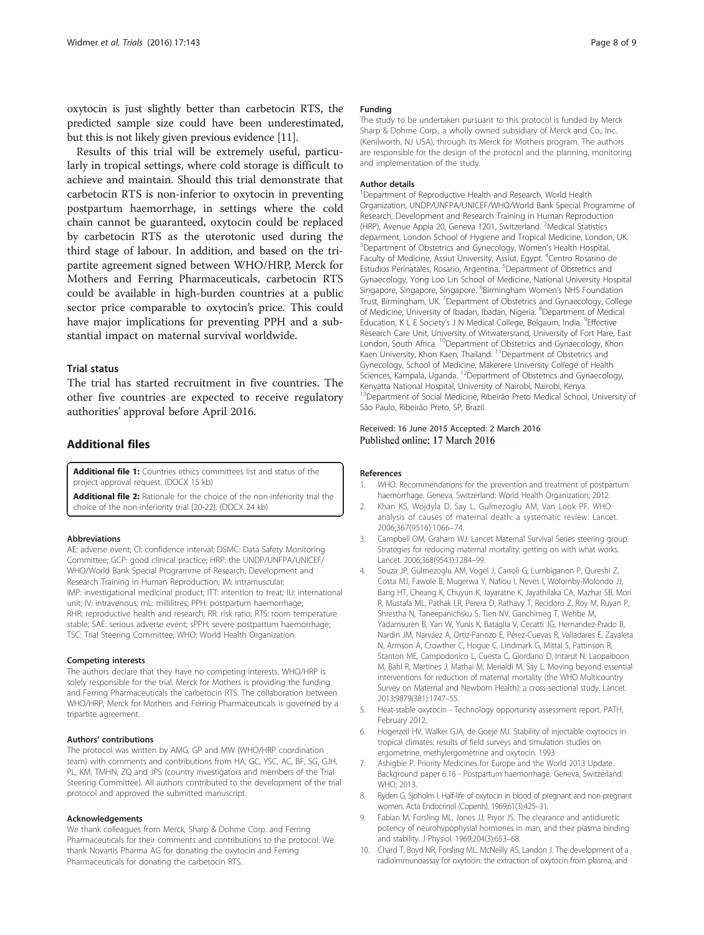<span id="page-7-0"></span>oxytocin is just slightly better than carbetocin RTS, the predicted sample size could have been underestimated, but this is not likely given previous evidence [[11](#page-8-0)].

Results of this trial will be extremely useful, particularly in tropical settings, where cold storage is difficult to achieve and maintain. Should this trial demonstrate that carbetocin RTS is non-inferior to oxytocin in preventing postpartum haemorrhage, in settings where the cold chain cannot be guaranteed, oxytocin could be replaced by carbetocin RTS as the uterotonic used during the third stage of labour. In addition, and based on the tripartite agreement signed between WHO/HRP, Merck for Mothers and Ferring Pharmaceuticals, carbetocin RTS could be available in high-burden countries at a public sector price comparable to oxytocin's price. This could have major implications for preventing PPH and a substantial impact on maternal survival worldwide.

#### Trial status

The trial has started recruitment in five countries. The other five countries are expected to receive regulatory authorities' approval before April 2016.

#### Additional files

[Additional file 1:](dx.doi.org/10.1186/s13063-016-1271-y) Countries ethics committees list and status of the project approval request. (DOCX 15 kb)

[Additional file 2:](dx.doi.org/10.1186/s13063-016-1271-y) Rationale for the choice of the non-inferiority trial the choice of the non-inferiority trial [[20-22](#page-8-0)]. (DOCX 24 kb)

#### Abbreviations

AE: adverse event; CI: confidence interval; DSMC: Data Safety Monitoring Committee; GCP: good clinical practice; HRP: the UNDP/UNFPA/UNICEF/ WHO/World Bank Special Programme of Research, Development and Research Training in Human Reproduction; IM: intramuscular; IMP: investigational medicinal product; ITT: intention to treat; IU: international unit; IV: intravenous; mL: millilitres; PPH: postpartum haemorrhage; RHR: reproductive health and research; RR: risk ratio; RTS: room temperature stable; SAE: serious adverse event; sPPH: severe postpartum haemorrhage; TSC: Trial Steering Committee; WHO: World Health Organization.

#### Competing interests

The authors declare that they have no competing interests. WHO/HRP is solely responsible for the trial. Merck for Mothers is providing the funding and Ferring Pharmaceuticals the carbetocin RTS. The collaboration between WHO/HRP, Merck for Mothers and Ferring Pharmaceuticals is governed by a tripartite agreement.

#### Authors' contributions

The protocol was written by AMG, GP and MW (WHO/HRP coordination team) with comments and contributions from HA, GC, YSC, AC, BF, SG, GJH, PL, KM, TMHN, ZQ and JPS (country investigators and members of the Trial Steering Committee). All authors contributed to the development of the trial protocol and approved the submitted manuscript.

#### Acknowledgements

We thank colleagues from Merck, Sharp & Dohme Corp. and Ferring Pharmaceuticals for their comments and contributions to the protocol. We thank Novartis Pharma AG for donating the oxytocin and Ferring Pharmaceuticals for donating the carbetocin RTS.

#### Funding

The study to be undertaken pursuant to this protocol is funded by Merck Sharp & Dohme Corp., a wholly owned subsidiary of Merck and Co., Inc. (Kenilworth, NJ USA), through its Merck for Mothers program. The authors are responsible for the design of the protocol and the planning, monitoring and implementation of the study.

#### Author details

<sup>1</sup>Department of Reproductive Health and Research, World Health Organization, UNDP/UNFPA/UNICEF/WHO/World Bank Special Programme of Research, Development and Research Training in Human Reproduction (HRP), Avenue Appia 20, Geneva 1201, Switzerland. <sup>2</sup>Medical Statistics deparment, London School of Hygiene and Tropical Medicine, London, UK. <sup>3</sup>Department of Obstetrics and Gynecology, Women's Health Hospital, Faculty of Medicine, Assiut University, Assiut, Egypt. <sup>4</sup>Centro Rosarino de Estudios Perinatales, Rosario, Argentina. <sup>5</sup>Department of Obstetrics and Gynaecology, Yong Loo Lin School of Medicine, National University Hospital Singapore, Singapore, Singapore. <sup>6</sup>Birmingham Women's NHS Foundation Trust, Birmingham, UK. <sup>7</sup>Department of Obstetrics and Gynaecology, College of Medicine, University of Ibadan, Ibadan, Nigeria. <sup>8</sup>Department of Medical Education, K L E Society's J N Medical College, Belgaum, India. <sup>9</sup> Effective Research Care Unit, University of Witwatersrand, University of Fort Hare, East London, South Africa. <sup>10</sup>Department of Obstetrics and Gynaecology, Khon Kaen University, Khon Kaen, Thailand. 11Department of Obstetrics and Gynecology, School of Medicine, Makerere University College of Health Sciences, Kampala, Uganda. 12Department of Obstetrics and Gynaecology, Kenyatta National Hospital, University of Nairobi, Nairobi, Kenya. <sup>13</sup>Department of Social Medicine, Ribeirão Preto Medical School, University of São Paulo, Ribeirão Preto, SP, Brazil.

#### Received: 16 June 2015 Accepted: 2 March 2016 Published online: 17 March 2016

#### References

- 1. WHO. Recommendations for the prevention and treatment of postpartum haemorrhage. Geneva, Switzerland: World Health Organization; 2012.
- 2. Khan KS, Wojdyla D, Say L, Gulmezoglu AM, Van Look PF. WHO analysis of causes of maternal death: a systematic review. Lancet. 2006;367(9516):1066–74.
- 3. Campbell OM, Graham WJ. Lancet Maternal Survival Series steering group. Strategies for reducing maternal mortality: getting on with what works. Lancet. 2006;368(9543):1284–99.
- 4. Souza JP, Gülmezoglu AM, Vogel J, Carroli G, Lumbiganon P, Qureshi Z, Costa MJ, Fawole B, Mugerwa Y, Nafiou I, Neves I, Wolomby-Molondo JJ, Bang HT, Cheang K, Chuyun K, Jayaratne K, Jayathilaka CA, Mazhar SB, Mori R, Mustafa ML, Pathak LR, Perera D, Rathavy T, Recidoro Z, Roy M, Ruyan P, Shrestha N, Taneepanichsku S, Tien NV, Ganchimeg T, Wehbe M, Yadamsuren B, Yan W, Yunis K, Bataglia V, Cecatti JG, Hernandez-Prado B, Nardin JM, Narváez A, Ortiz-Panozo E, Pérez-Cuevas R, Valladares E, Zavaleta N, Armson A, Crowther C, Hogue C, Lindmark G, Mittal S, Pattinson R, Stanton ME, Campodonico L, Cuesta C, Giordano D, Intarut N, Laopaiboon M, Bahl R, Martines J, Mathai M, Merialdi M, Say L. Moving beyond essential interventions for reduction of maternal mortality (the WHO Multicountry Survey on Maternal and Newborn Health): a cross-sectional study. Lancet. 2013;9879(381):1747–55.
- 5. Heat-stable oxytocin Technology opportunity assessment report. PATH, February 2012.
- 6. Hogerzeil HV, Walker GJA, de Goeje MJ. Stability of injectable oxytocics in tropical climates: results of field surveys and simulation studies on ergometrine, methylergometrine and oxytocin. 1993
- 7. Ashigbie P. Priority Medicines for Europe and the World 2013 Update. Background paper 6.16 - Postpartum haemorrhage. Geneva, Switzerland: WHO; 2013.
- 8. Ryden G, Sjoholm I. Half-life of oxytocin in blood of pregnant and non-pregnant women. Acta Endocrinol (Copenh). 1969;61(3):425–31.
- 9. Fabian M, Forsling ML, Jones JJ, Pryor JS. The clearance and antidiuretic potency of neurohypophysial hormones in man, and their plasma binding and stability. J Physiol. 1969;204(3):653–68.
- 10. Chard T, Boyd NR, Forsling ML, McNeilly AS, Landon J. The development of a radioimmunoassay for oxytocin: the extraction of oxytocin from plasma, and